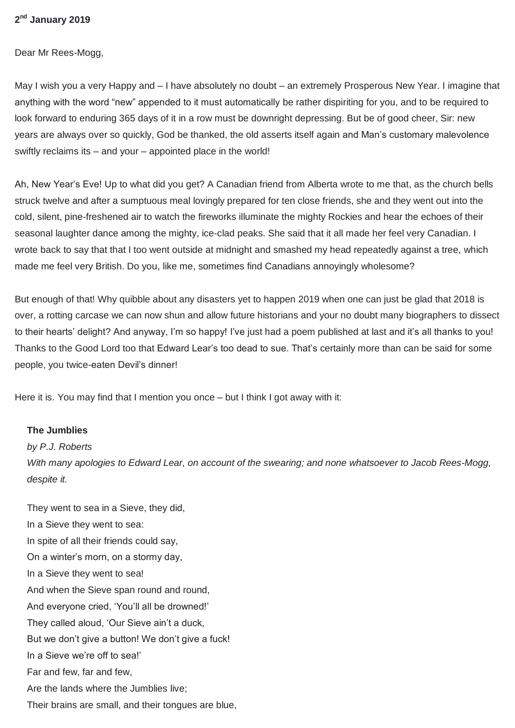## **2 nd January 2019**

Dear Mr Rees-Mogg,

May I wish you a very Happy and – I have absolutely no doubt – an extremely Prosperous New Year. I imagine that anything with the word "new" appended to it must automatically be rather dispiriting for you, and to be required to look forward to enduring 365 days of it in a row must be downright depressing. But be of good cheer, Sir: new years are always over so quickly, God be thanked, the old asserts itself again and Man's customary malevolence swiftly reclaims its – and your – appointed place in the world!

Ah, New Year's Eve! Up to what did you get? A Canadian friend from Alberta wrote to me that, as the church bells struck twelve and after a sumptuous meal lovingly prepared for ten close friends, she and they went out into the cold, silent, pine-freshened air to watch the fireworks illuminate the mighty Rockies and hear the echoes of their seasonal laughter dance among the mighty, ice-clad peaks. She said that it all made her feel very Canadian. I wrote back to say that that I too went outside at midnight and smashed my head repeatedly against a tree, which made me feel very British. Do you, like me, sometimes find Canadians annoyingly wholesome?

But enough of that! Why quibble about any disasters yet to happen 2019 when one can just be glad that 2018 is over, a rotting carcase we can now shun and allow future historians and your no doubt many biographers to dissect to their hearts' delight? And anyway, I'm so happy! I've just had a poem published at last and it's all thanks to you! Thanks to the Good Lord too that Edward Lear's too dead to sue. That's certainly more than can be said for some people, you twice-eaten Devil's dinner!

Here it is. You may find that I mention you once – but I think I got away with it:

## **The Jumblies**

## *by P.J. Roberts*

*With many apologies to Edward Lear, on account of the swearing; and none whatsoever to Jacob Rees-Mogg, despite it.*

They went to sea in a Sieve, they did, In a Sieve they went to sea: In spite of all their friends could say, On a winter's morn, on a stormy day, In a Sieve they went to sea! And when the Sieve span round and round, And everyone cried, 'You'll all be drowned!' They called aloud, 'Our Sieve ain't a duck, But we don't give a button! We don't give a fuck! In a Sieve we're off to sea!' Far and few, far and few, Are the lands where the Jumblies live; Their brains are small, and their tongues are blue,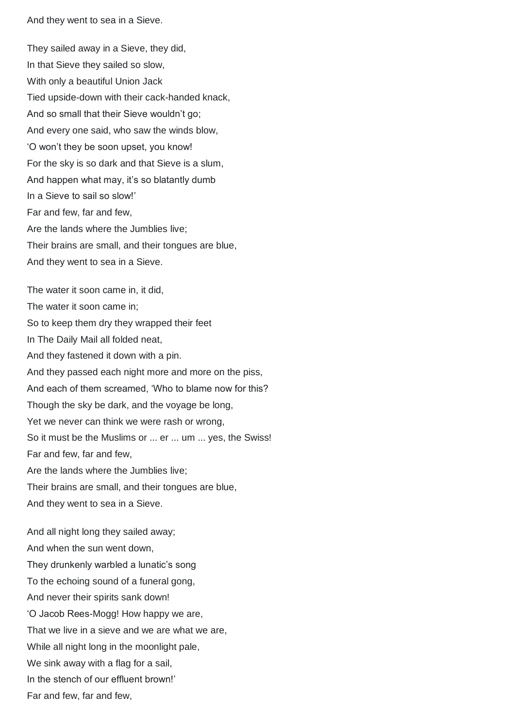And they went to sea in a Sieve.

They sailed away in a Sieve, they did, In that Sieve they sailed so slow, With only a beautiful Union Jack Tied upside-down with their cack-handed knack, And so small that their Sieve wouldn't go; And every one said, who saw the winds blow, 'O won't they be soon upset, you know! For the sky is so dark and that Sieve is a slum, And happen what may, it's so blatantly dumb In a Sieve to sail so slow!' Far and few, far and few, Are the lands where the Jumblies live; Their brains are small, and their tongues are blue, And they went to sea in a Sieve.

The water it soon came in, it did, The water it soon came in; So to keep them dry they wrapped their feet In The Daily Mail all folded neat, And they fastened it down with a pin. And they passed each night more and more on the piss, And each of them screamed, 'Who to blame now for this? Though the sky be dark, and the voyage be long, Yet we never can think we were rash or wrong, So it must be the Muslims or ... er ... um ... yes, the Swiss! Far and few, far and few, Are the lands where the Jumblies live; Their brains are small, and their tongues are blue, And they went to sea in a Sieve.

And all night long they sailed away; And when the sun went down, They drunkenly warbled a lunatic's song To the echoing sound of a funeral gong, And never their spirits sank down! 'O Jacob Rees-Mogg! How happy we are, That we live in a sieve and we are what we are, While all night long in the moonlight pale, We sink away with a flag for a sail, In the stench of our effluent brown!' Far and few, far and few,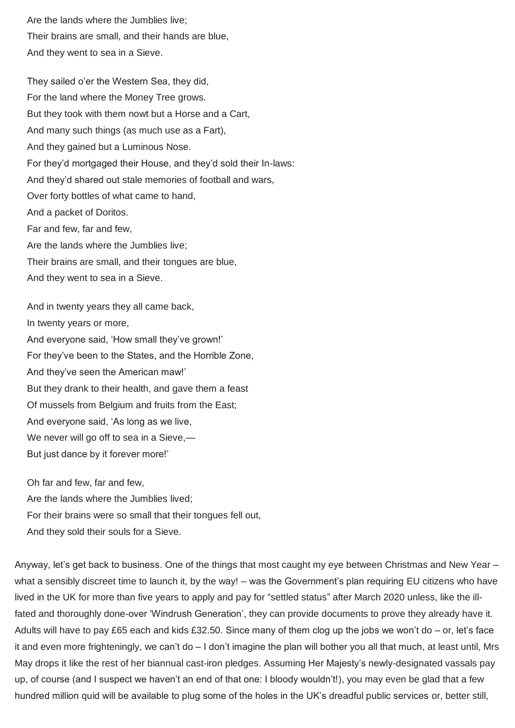Are the lands where the Jumblies live; Their brains are small, and their hands are blue, And they went to sea in a Sieve.

They sailed o'er the Western Sea, they did, For the land where the Money Tree grows. But they took with them nowt but a Horse and a Cart, And many such things (as much use as a Fart), And they gained but a Luminous Nose. For they'd mortgaged their House, and they'd sold their In-laws: And they'd shared out stale memories of football and wars, Over forty bottles of what came to hand, And a packet of Doritos. Far and few, far and few, Are the lands where the Jumblies live; Their brains are small, and their tongues are blue, And they went to sea in a Sieve.

And in twenty years they all came back, In twenty years or more, And everyone said, 'How small they've grown!' For they've been to the States, and the Horrible Zone, And they've seen the American maw!' But they drank to their health, and gave them a feast Of mussels from Belgium and fruits from the East; And everyone said, 'As long as we live, We never will go off to sea in a Sieve,— But just dance by it forever more!'

Oh far and few, far and few, Are the lands where the Jumblies lived; For their brains were so small that their tongues fell out, And they sold their souls for a Sieve.

Anyway, let's get back to business. One of the things that most caught my eye between Christmas and New Year – what a sensibly discreet time to launch it, by the way! – was the Government's plan requiring EU citizens who have lived in the UK for more than five years to apply and pay for "settled status" after March 2020 unless, like the illfated and thoroughly done-over 'Windrush Generation', they can provide documents to prove they already have it. Adults will have to pay £65 each and kids £32.50. Since many of them clog up the jobs we won't do – or, let's face it and even more frighteningly, we can't do – I don't imagine the plan will bother you all that much, at least until, Mrs May drops it like the rest of her biannual cast-iron pledges. Assuming Her Majesty's newly-designated vassals pay up, of course (and I suspect we haven't an end of that one: I bloody wouldn't!), you may even be glad that a few hundred million quid will be available to plug some of the holes in the UK's dreadful public services or, better still,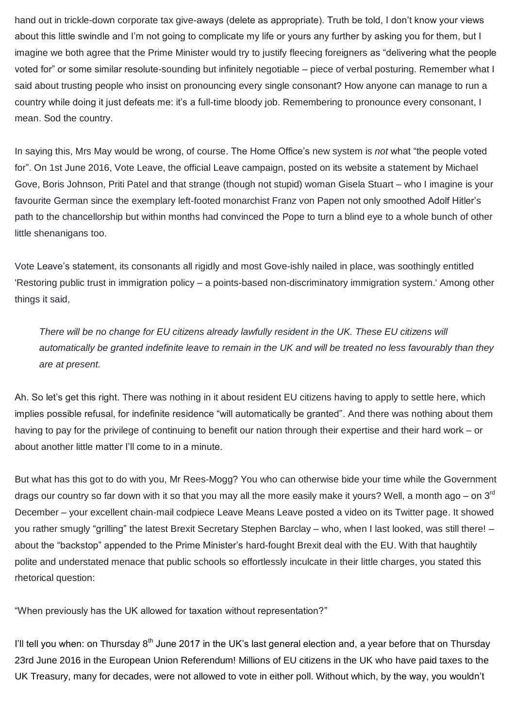hand out in trickle-down corporate tax give-aways (delete as appropriate). Truth be told, I don't know your views about this little swindle and I'm not going to complicate my life or yours any further by asking you for them, but I imagine we both agree that the Prime Minister would try to justify fleecing foreigners as "delivering what the people voted for" or some similar resolute-sounding but infinitely negotiable – piece of verbal posturing. Remember what I said about trusting people who insist on pronouncing every single consonant? How anyone can manage to run a country while doing it just defeats me: it's a full-time bloody job. Remembering to pronounce every consonant, I mean. Sod the country.

In saying this, Mrs May would be wrong, of course. The Home Office's new system is *not* what "the people voted for". On 1st June 2016, Vote Leave, the official Leave campaign, posted on its website a statement by Michael Gove, Boris Johnson, Priti Patel and that strange (though not stupid) woman Gisela Stuart – who I imagine is your favourite German since the exemplary left-footed monarchist Franz von Papen not only smoothed Adolf Hitler's path to the chancellorship but within months had convinced the Pope to turn a blind eye to a whole bunch of other little shenanigans too.

Vote Leave's statement, its consonants all rigidly and most Gove-ishly nailed in place, was soothingly entitled 'Restoring public trust in immigration policy – a points-based non-discriminatory immigration system.' Among other things it said,

*There will be no change for EU citizens already lawfully resident in the UK. These EU citizens will automatically be granted indefinite leave to remain in the UK and will be treated no less favourably than they are at present.*

Ah. So let's get this right. There was nothing in it about resident EU citizens having to apply to settle here, which implies possible refusal, for indefinite residence "will automatically be granted". And there was nothing about them having to pay for the privilege of continuing to benefit our nation through their expertise and their hard work – or about another little matter I'll come to in a minute.

But what has this got to do with you, Mr Rees-Mogg? You who can otherwise bide your time while the Government drags our country so far down with it so that you may all the more easily make it yours? Well, a month ago – on 3<sup>rd</sup> December – your excellent chain-mail codpiece Leave Means Leave posted a video on its Twitter page. It showed you rather smugly "grilling" the latest Brexit Secretary Stephen Barclay – who, when I last looked, was still there! – about the "backstop" appended to the Prime Minister's hard-fought Brexit deal with the EU. With that haughtily polite and understated menace that public schools so effortlessly inculcate in their little charges, you stated this rhetorical question:

"When previously has the UK allowed for taxation without representation?"

I'll tell you when: on Thursday  $8<sup>th</sup>$  June 2017 in the UK's last general election and, a year before that on Thursday 23rd June 2016 in the European Union Referendum! Millions of EU citizens in the UK who have paid taxes to the UK Treasury, many for decades, were not allowed to vote in either poll. Without which, by the way, you wouldn't